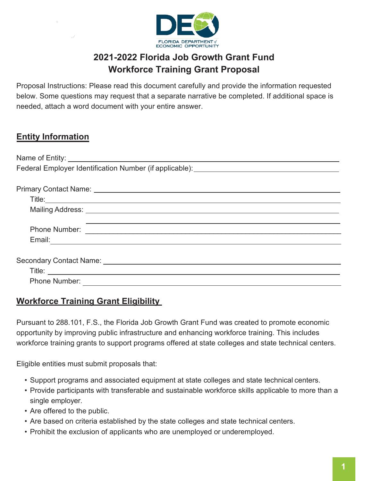

# **2021-2022 Florida Job Growth Grant Fund Workforce Training Grant Proposal**

Proposal Instructions: Please read this document carefully and provide the information requested below. Some questions may request that a separate narrative be completed. If additional space is needed, attach a word document with your entire answer.

# **Entity Information**

| Federal Employer Identification Number (if applicable): _________________________                                    |
|----------------------------------------------------------------------------------------------------------------------|
|                                                                                                                      |
| Primary Contact Name: University of American American American American American American American American American |
|                                                                                                                      |
|                                                                                                                      |
|                                                                                                                      |
|                                                                                                                      |
|                                                                                                                      |
|                                                                                                                      |
| Secondary Contact Name: 2008 2009 2009 2010 2020 2031 2040 2051 2052 2053 2054 2055 2056 2057 2058 2059 2059 20      |
| Title: <u>www.community.community.community.com</u>                                                                  |
| <b>Phone Number:</b>                                                                                                 |

## **Workforce Training Grant Eligibility**

Pursuant to 288.101, F.S., the Florida Job Growth Grant Fund was created to promote economic opportunity by improving public infrastructure and enhancing workforce training. This includes workforce training grants to support programs offered at state colleges and state technical centers.

Eligible entities must submit proposals that:

- Support programs and associated equipment at state colleges and state technical centers.
- Provide participants with transferable and sustainable workforce skills applicable to more than a single employer.
- Are offered to the public.
- Are based on criteria established by the state colleges and state technical centers.
- Prohibit the exclusion of applicants who are unemployed or underemployed.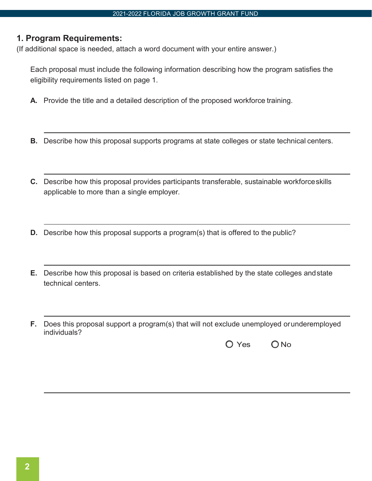#### **1. Program Requirements:**

(If additional space is needed, attach a word document with your entire answer.)

Each proposal must include the following information describing how the program satisfies the eligibility requirements listed on page 1.

- **A.** Provide the title and a detailed description of the proposed workforce training.
- **B.** Describe how this proposal supports programs at state colleges or state technical centers.
- **C.** Describe how this proposal provides participants transferable, sustainable workforceskills applicable to more than a single employer.
- **D.** Describe how this proposal supports a program(s) that is offered to the public?
- **E.** Describe how this proposal is based on criteria established by the state colleges andstate technical centers.
- **F.** Does this proposal support a program(s) that will not exclude unemployed orunderemployed individuals?

 $O$  Yes  $O$  No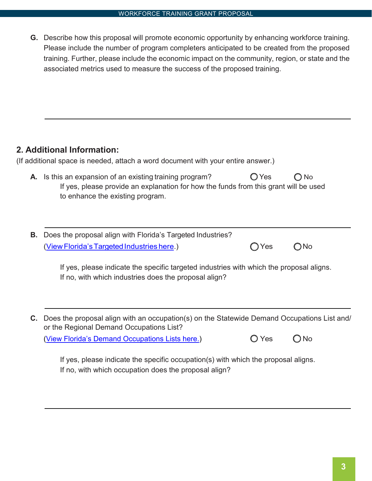**G.** Describe how this proposal will promote economic opportunity by enhancing workforce training. Please include the number of program completers anticipated to be created from the proposed training. Further, please include the economic impact on the community, region, or state and the associated metrics used to measure the success of the proposed training.

### **2. Additional Information:**

(If additional space is needed, attach a word document with your entire answer.)

- **A.** Is this an expansion of an existing training program?  $\bigcirc$  Yes  $\bigcirc$  No If yes, please provide an explanation for how the funds from this grant will be used to enhance the existing program.
- **B.** Does the proposal align with Florida's Targeted Industries? (View Florida's Targeted Industries here.)  $\bigcirc$  Yes  $\bigcirc$  No

If yes, please indicate the specific targeted industries with which the proposal aligns. If no, with which industries does the proposal align?

**C.** Does the proposal align with an occupation(s) on the Statewide Demand Occupations List and/ or the Regional Demand Occupations List?

[\(View Florida's Demand Occupations Lists here.\)](http://www.floridajobs.org/workforce-statistics/publications-and-reports/labor-market-information-reports/regional-demand-occupations-list)  $\bigcirc$  Yes  $\bigcirc$  No

| ۱S | $\bigcirc$ No |  |
|----|---------------|--|
|    |               |  |

If yes, please indicate the specific occupation(s) with which the proposal aligns. If no, with which occupation does the proposal align?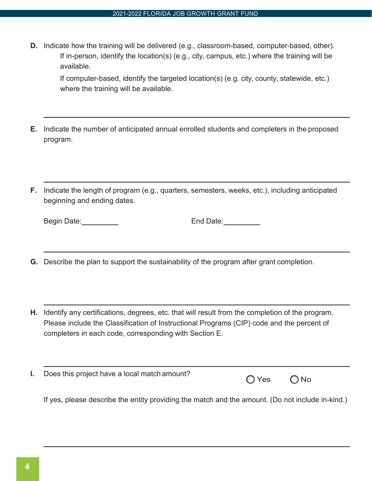**D.** Indicate how the training will be delivered (e.g., classroom-based, computer-based, other). If in-person, identify the location(s) (e.g., city, campus, etc.) where the training will be available.

If computer-based, identify the targeted location(s) (e.g. city, county, statewide, etc.) where the training will be available.

- **E.** Indicate the number of anticipated annual enrolled students and completers in the proposed program.
- **F.** Indicate the length of program (e.g., quarters, semesters, weeks, etc.), including anticipated beginning and ending dates.

| Begin Date: |  |
|-------------|--|
|             |  |

End Date: End Date:

- **G.** Describe the plan to support the sustainability of the program after grant completion.
- **H.** Identify any certifications, degrees, etc. that will result from the completion of the program. Please include the Classification of Instructional Programs (CIP) code and the percent of completers in each code, corresponding with Section E.
- **I.** Does this project have a local match amount?

 $O$  Yes  $O$  No

If yes, please describe the entity providing the match and the amount. (Do not include in-kind.)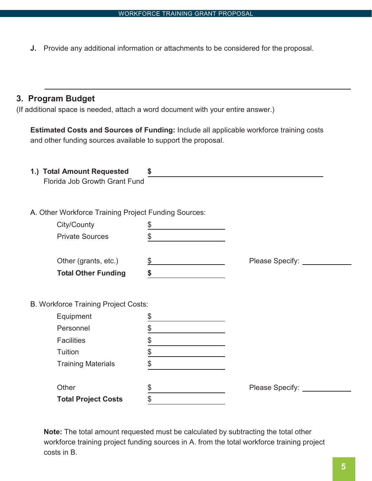**J.** Provide any additional information or attachments to be considered for the proposal.

#### **3. Program Budget**

(If additional space is needed, attach a word document with your entire answer.)

**Estimated Costs and Sources of Funding:** Include all applicable workforce training costs and other funding sources available to support the proposal.

| 1.) Total Amount Requested<br>Florida Job Growth Grant Fund | \$            |                        |
|-------------------------------------------------------------|---------------|------------------------|
|                                                             |               |                        |
| A. Other Workforce Training Project Funding Sources:        |               |                        |
| City/County                                                 | \$            |                        |
| <b>Private Sources</b>                                      | \$            |                        |
|                                                             |               |                        |
| Other (grants, etc.)                                        | $\frac{1}{2}$ | Please Specify: ______ |
| <b>Total Other Funding</b>                                  | \$            |                        |
|                                                             |               |                        |
| <b>B. Workforce Training Project Costs:</b>                 |               |                        |
| Equipment                                                   | \$            |                        |
| Personnel                                                   | \$            |                        |
| <b>Facilities</b>                                           | \$            |                        |
| Tuition                                                     | $\frac{1}{6}$ |                        |
| <b>Training Materials</b>                                   | \$            |                        |
|                                                             |               |                        |
| Other                                                       | \$            | Please Specify:        |
| <b>Total Project Costs</b>                                  | \$            |                        |

**Note:** The total amount requested must be calculated by subtracting the total other workforce training project funding sources in A. from the total workforce training project costs in B.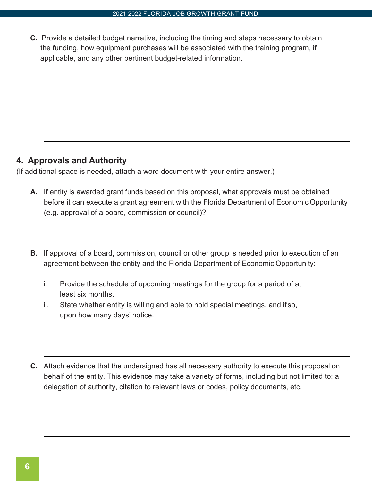**C.** Provide a detailed budget narrative, including the timing and steps necessary to obtain the funding, how equipment purchases will be associated with the training program, if applicable, and any other pertinent budget-related information.

#### **4. Approvals and Authority**

(If additional space is needed, attach a word document with your entire answer.)

- **A.** If entity is awarded grant funds based on this proposal, what approvals must be obtained before it can execute a grant agreement with the Florida Department of Economic Opportunity (e.g. approval of a board, commission or council)?
- **B.** If approval of a board, commission, council or other group is needed prior to execution of an agreement between the entity and the Florida Department of Economic Opportunity:
	- i. Provide the schedule of upcoming meetings for the group for a period of at least six months.
	- ii. State whether entity is willing and able to hold special meetings, and if so, upon how many days' notice.
- **C.** Attach evidence that the undersigned has all necessary authority to execute this proposal on behalf of the entity. This evidence may take a variety of forms, including but not limited to: a delegation of authority, citation to relevant laws or codes, policy documents, etc.